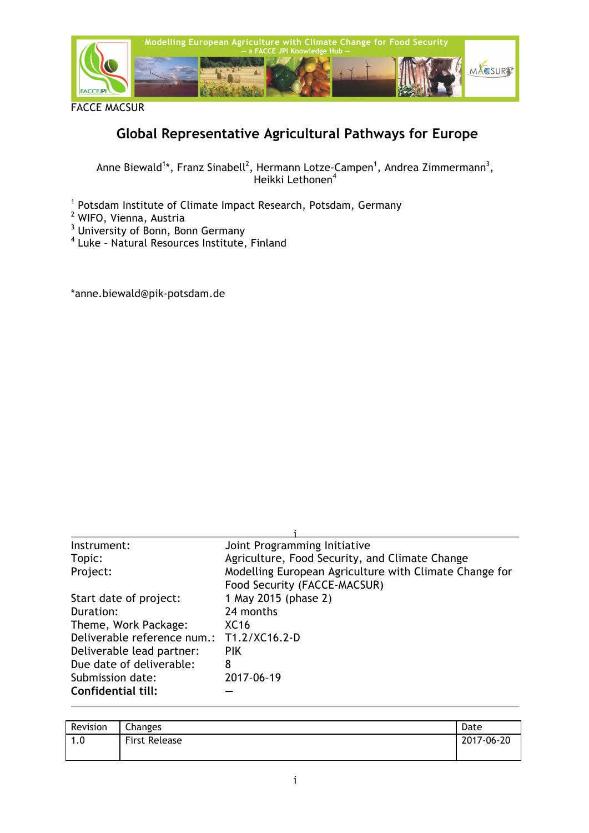

FACCE MACSUR

# **Global Representative Agricultural Pathways for Europe**

Anne Biewald<sup>1</sup>\*, Franz Sinabell<sup>2</sup>, Hermann Lotze-Campen<sup>1</sup>, Andrea Zimmermann<sup>3</sup>, Heikki Lethonen<sup>4</sup>

<sup>1</sup> Potsdam Institute of Climate Impact Research, Potsdam, Germany

- <sup>2</sup> WIFO, Vienna, Austria
- $^3$  University of Bonn, Bonn Germany
- <sup>4</sup> Luke Natural Resources Institute, Finland

\*anne.biewald@pik-potsdam.de

| Instrument:                 | Joint Programming Initiative                                                           |
|-----------------------------|----------------------------------------------------------------------------------------|
| Topic:                      | Agriculture, Food Security, and Climate Change                                         |
| Project:                    | Modelling European Agriculture with Climate Change for<br>Food Security (FACCE-MACSUR) |
| Start date of project:      | 1 May 2015 (phase 2)                                                                   |
| Duration:                   | 24 months                                                                              |
| Theme, Work Package:        | XC <sub>16</sub>                                                                       |
| Deliverable reference num.: | T1.2/XC16.2-D                                                                          |
| Deliverable lead partner:   | <b>PIK</b>                                                                             |
| Due date of deliverable:    | 8                                                                                      |
| Submission date:            | 2017-06-19                                                                             |
| Confidential till:          |                                                                                        |

| Revision                         | Changes              | Date       |
|----------------------------------|----------------------|------------|
| $\Omega$<br>$\overline{ }$<br>.u | <b>First Release</b> | 2017-06-20 |
|                                  |                      |            |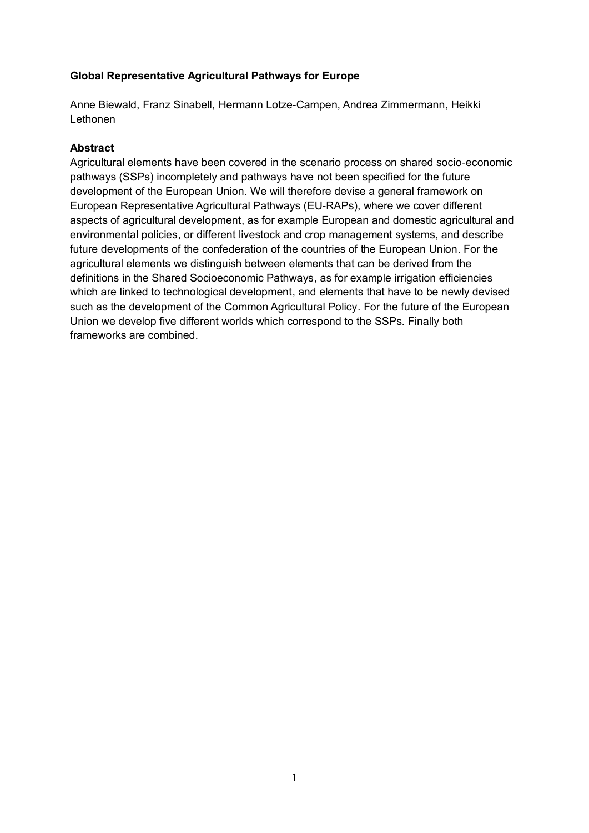## **Global Representative Agricultural Pathways for Europe**

Anne Biewald, Franz Sinabell, Hermann Lotze-Campen, Andrea Zimmermann, Heikki Lethonen

## **Abstract**

Agricultural elements have been covered in the scenario process on shared socio-economic pathways (SSPs) incompletely and pathways have not been specified for the future development of the European Union. We will therefore devise a general framework on European Representative Agricultural Pathways (EU-RAPs), where we cover different aspects of agricultural development, as for example European and domestic agricultural and environmental policies, or different livestock and crop management systems, and describe future developments of the confederation of the countries of the European Union. For the agricultural elements we distinguish between elements that can be derived from the definitions in the Shared Socioeconomic Pathways, as for example irrigation efficiencies which are linked to technological development, and elements that have to be newly devised such as the development of the Common Agricultural Policy. For the future of the European Union we develop five different worlds which correspond to the SSPs. Finally both frameworks are combined.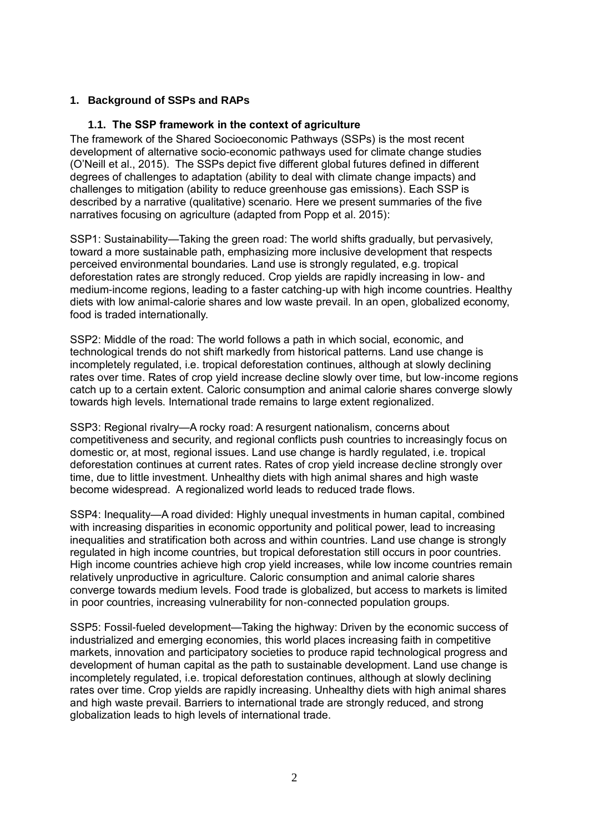#### **1. Background of SSPs and RAPs**

#### **1.1. The SSP framework in the context of agriculture**

The framework of the Shared Socioeconomic Pathways (SSPs) is the most recent development of alternative socio-economic pathways used for climate change studies (O'Neill et al., 2015). The SSPs depict five different global futures defined in different degrees of challenges to adaptation (ability to deal with climate change impacts) and challenges to mitigation (ability to reduce greenhouse gas emissions). Each SSP is described by a narrative (qualitative) scenario. Here we present summaries of the five narratives focusing on agriculture (adapted from Popp et al. 2015):

SSP1: Sustainability—Taking the green road: The world shifts gradually, but pervasively, toward a more sustainable path, emphasizing more inclusive development that respects perceived environmental boundaries. Land use is strongly regulated, e.g. tropical deforestation rates are strongly reduced. Crop yields are rapidly increasing in low- and medium-income regions, leading to a faster catching-up with high income countries. Healthy diets with low animal-calorie shares and low waste prevail. In an open, globalized economy, food is traded internationally.

SSP2: Middle of the road: The world follows a path in which social, economic, and technological trends do not shift markedly from historical patterns. Land use change is incompletely regulated, i.e. tropical deforestation continues, although at slowly declining rates over time. Rates of crop yield increase decline slowly over time, but low-income regions catch up to a certain extent. Caloric consumption and animal calorie shares converge slowly towards high levels. International trade remains to large extent regionalized.

SSP3: Regional rivalry—A rocky road: A resurgent nationalism, concerns about competitiveness and security, and regional conflicts push countries to increasingly focus on domestic or, at most, regional issues. Land use change is hardly regulated, i.e. tropical deforestation continues at current rates. Rates of crop yield increase decline strongly over time, due to little investment. Unhealthy diets with high animal shares and high waste become widespread. A regionalized world leads to reduced trade flows.

SSP4: Inequality—A road divided: Highly unequal investments in human capital, combined with increasing disparities in economic opportunity and political power, lead to increasing inequalities and stratification both across and within countries. Land use change is strongly regulated in high income countries, but tropical deforestation still occurs in poor countries. High income countries achieve high crop yield increases, while low income countries remain relatively unproductive in agriculture. Caloric consumption and animal calorie shares converge towards medium levels. Food trade is globalized, but access to markets is limited in poor countries, increasing vulnerability for non-connected population groups.

SSP5: Fossil-fueled development—Taking the highway: Driven by the economic success of industrialized and emerging economies, this world places increasing faith in competitive markets, innovation and participatory societies to produce rapid technological progress and development of human capital as the path to sustainable development. Land use change is incompletely regulated, i.e. tropical deforestation continues, although at slowly declining rates over time. Crop yields are rapidly increasing. Unhealthy diets with high animal shares and high waste prevail. Barriers to international trade are strongly reduced, and strong globalization leads to high levels of international trade.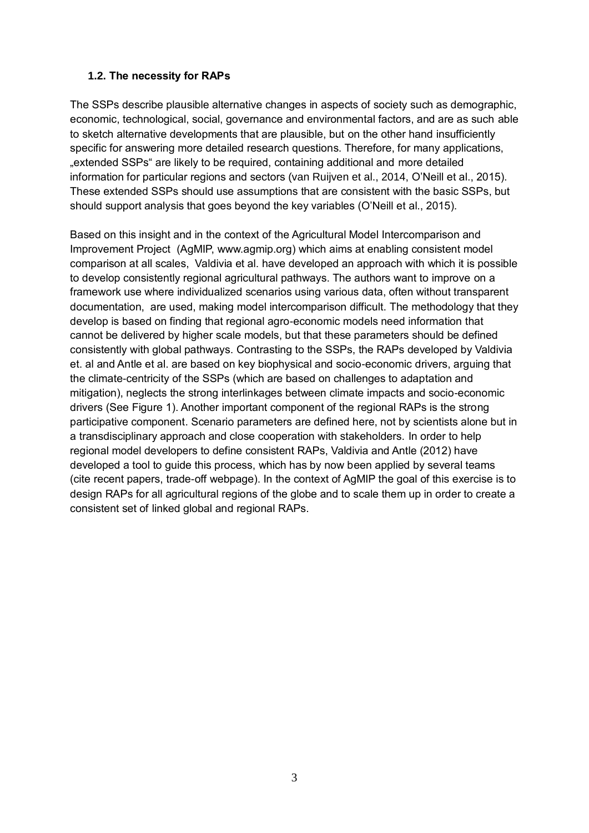## **1.2. The necessity for RAPs**

The SSPs describe plausible alternative changes in aspects of society such as demographic, economic, technological, social, governance and environmental factors, and are as such able to sketch alternative developments that are plausible, but on the other hand insufficiently specific for answering more detailed research questions. Therefore, for many applications, "extended SSPs" are likely to be required, containing additional and more detailed information for particular regions and sectors (van Ruijven et al., 2014, O'Neill et al., 2015). These extended SSPs should use assumptions that are consistent with the basic SSPs, but should support analysis that goes beyond the key variables (O'Neill et al., 2015).

Based on this insight and in the context of the Agricultural Model Intercomparison and Improvement Project (AgMIP, www.agmip.org) which aims at enabling consistent model comparison at all scales, Valdivia et al. have developed an approach with which it is possible to develop consistently regional agricultural pathways. The authors want to improve on a framework use where individualized scenarios using various data, often without transparent documentation, are used, making model intercomparison difficult. The methodology that they develop is based on finding that regional agro-economic models need information that cannot be delivered by higher scale models, but that these parameters should be defined consistently with global pathways. Contrasting to the SSPs, the RAPs developed by Valdivia et. al and Antle et al. are based on key biophysical and socio-economic drivers, arguing that the climate-centricity of the SSPs (which are based on challenges to adaptation and mitigation), neglects the strong interlinkages between climate impacts and socio-economic drivers (See [Figure 1\)](#page-4-0). Another important component of the regional RAPs is the strong participative component. Scenario parameters are defined here, not by scientists alone but in a transdisciplinary approach and close cooperation with stakeholders. In order to help regional model developers to define consistent RAPs, Valdivia and Antle (2012) have developed a tool to guide this process, which has by now been applied by several teams (cite recent papers, trade-off webpage). In the context of AgMIP the goal of this exercise is to design RAPs for all agricultural regions of the globe and to scale them up in order to create a consistent set of linked global and regional RAPs.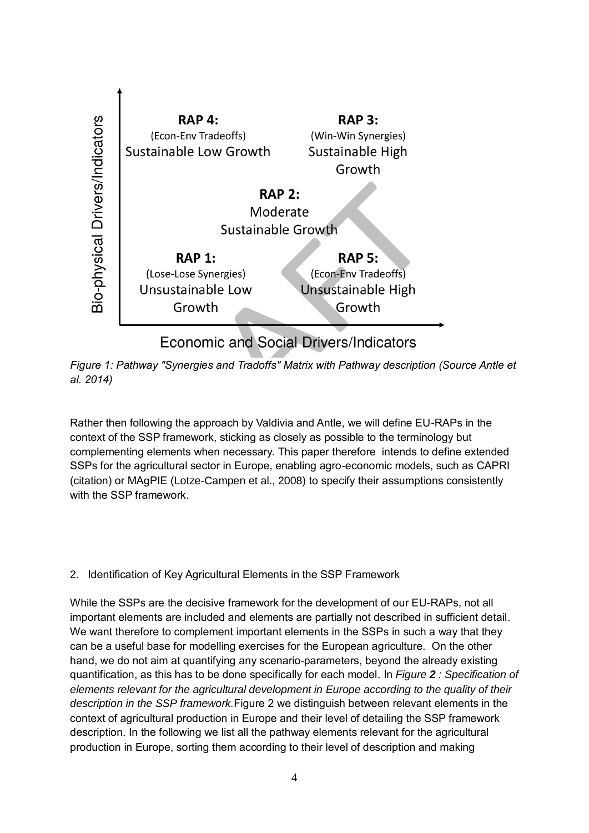

<span id="page-4-0"></span>*Figure 1: Pathway "Synergies and Tradoffs" Matrix with Pathway description (Source Antle et al. 2014)*

Rather then following the approach by Valdivia and Antle, we will define EU-RAPs in the context of the SSP framework, sticking as closely as possible to the terminology but complementing elements when necessary. This paper therefore intends to define extended SSPs for the agricultural sector in Europe, enabling agro-economic models, such as CAPRI (citation) or MAgPIE (Lotze-Campen et al., 2008) to specify their assumptions consistently with the SSP framework

# 2. Identification of Key Agricultural Elements in the SSP Framework

While the SSPs are the decisive framework for the development of our EU-RAPs, not all important elements are included and elements are partially not described in sufficient detail. We want therefore to complement important elements in the SSPs in such a way that they can be a useful base for modelling exercises for the European agriculture. On the other hand, we do not aim at quantifying any scenario-parameters, beyond the already existing quantification, as this has to be done specifically for each model. In *Figure 2 [: Specification of](#page-6-0)  [elements relevant for the agricultural development in Europe according to the quality of their](#page-6-0)  [description in the SSP framework.](#page-6-0)*[Figure 2](#page-6-0) we distinguish between relevant elements in the context of agricultural production in Europe and their level of detailing the SSP framework description. In the following we list all the pathway elements relevant for the agricultural production in Europe, sorting them according to their level of description and making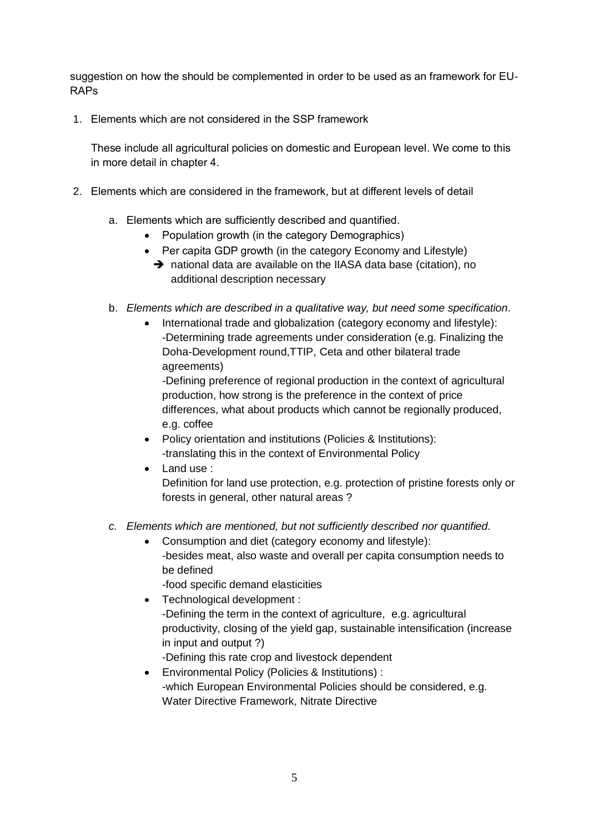suggestion on how the should be complemented in order to be used as an framework for EU-RAPs

1. Elements which are not considered in the SSP framework

These include all agricultural policies on domestic and European level. We come to this in more detail in chapter [4.](#page-10-0)

- 2. Elements which are considered in the framework, but at different levels of detail
	- a. Elements which are sufficiently described and quantified.
		- Population growth (in the category Demographics)
		- Per capita GDP growth (in the category Economy and Lifestyle)
		- $\rightarrow$  national data are available on the IIASA data base (citation), no additional description necessary
	- b. *Elements which are described in a qualitative way, but need some specification*.
		- International trade and globalization (category economy and lifestyle): -Determining trade agreements under consideration (e.g. Finalizing the Doha-Development round,TTIP, Ceta and other bilateral trade agreements)

-Defining preference of regional production in the context of agricultural production, how strong is the preference in the context of price differences, what about products which cannot be regionally produced, e.g. coffee

- Policy orientation and institutions (Policies & Institutions): -translating this in the context of Environmental Policy
- Land use :
	- Definition for land use protection, e.g. protection of pristine forests only or forests in general, other natural areas ?
- *c. Elements which are mentioned, but not sufficiently described nor quantified.*
	- Consumption and diet (category economy and lifestyle): -besides meat, also waste and overall per capita consumption needs to be defined

-food specific demand elasticities

- Technological development : -Defining the term in the context of agriculture, e.g. agricultural productivity, closing of the yield gap, sustainable intensification (increase in input and output ?) -Defining this rate crop and livestock dependent
- Environmental Policy (Policies & Institutions) : -which European Environmental Policies should be considered, e.g. Water Directive Framework, Nitrate Directive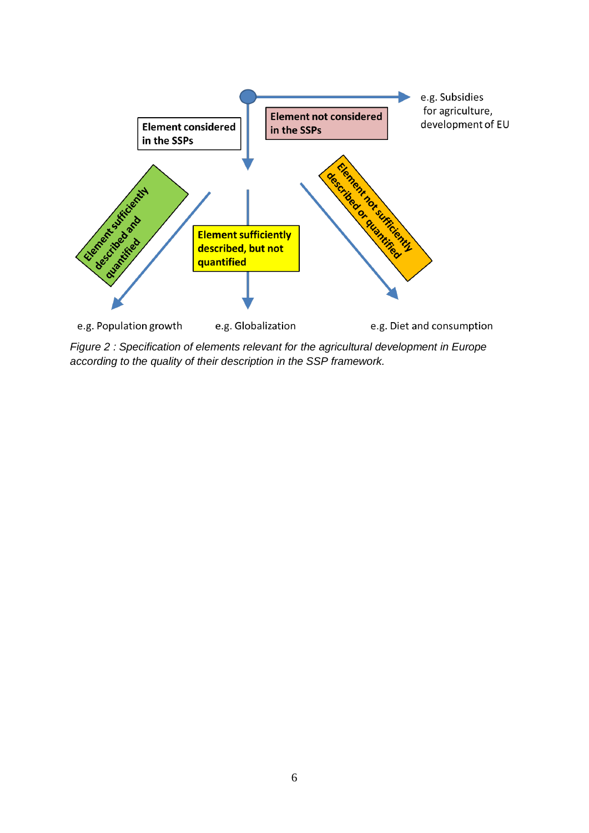

<span id="page-6-0"></span>*Figure 2 : Specification of elements relevant for the agricultural development in Europe according to the quality of their description in the SSP framework.*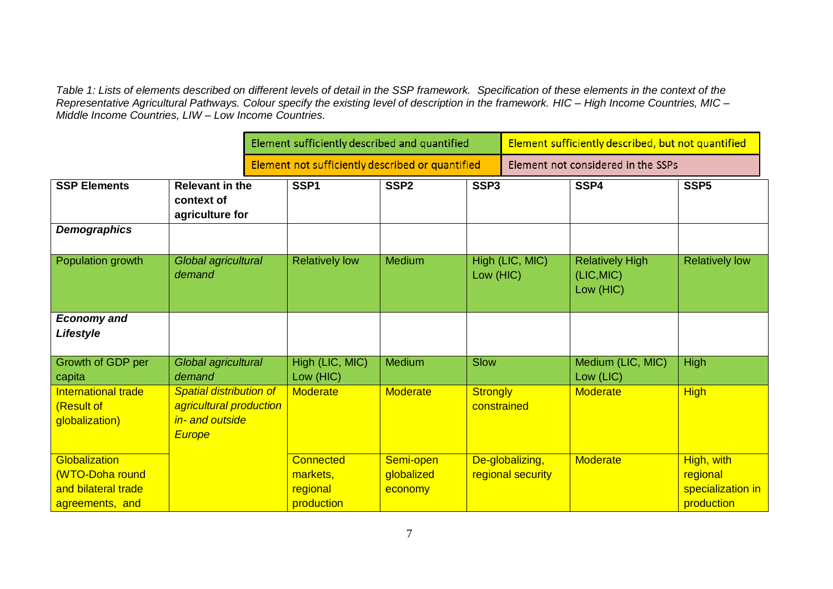*Table 1: Lists of elements described on different levels of detail in the SSP framework. Specification of these elements in the context of the Representative Agricultural Pathways. Colour specify the existing level of description in the framework. HIC – High Income Countries, MIC – Middle Income Countries, LIW – Low Income Countries.* 

|                                                                            |                                                                                               | Element sufficiently described and quantified    |                                                        |                                    |                                | Element sufficiently described, but not quantified |                                                   |                                                           |
|----------------------------------------------------------------------------|-----------------------------------------------------------------------------------------------|--------------------------------------------------|--------------------------------------------------------|------------------------------------|--------------------------------|----------------------------------------------------|---------------------------------------------------|-----------------------------------------------------------|
|                                                                            |                                                                                               | Element not sufficiently described or quantified |                                                        |                                    |                                | Element not considered in the SSPs                 |                                                   |                                                           |
| <b>SSP Elements</b>                                                        | <b>Relevant in the</b><br>context of<br>agriculture for                                       |                                                  | SSP <sub>1</sub>                                       | SSP <sub>2</sub>                   | SSP <sub>3</sub>               |                                                    | SSP4                                              | SSP <sub>5</sub>                                          |
| <b>Demographics</b>                                                        |                                                                                               |                                                  |                                                        |                                    |                                |                                                    |                                                   |                                                           |
| Population growth                                                          | Global agricultural<br>demand                                                                 |                                                  | <b>Relatively low</b>                                  | Medium                             | Low (HIC)                      | High (LIC, MIC)                                    | <b>Relatively High</b><br>(LIC, MIC)<br>Low (HIC) | <b>Relatively low</b>                                     |
| <b>Economy and</b><br>Lifestyle                                            |                                                                                               |                                                  |                                                        |                                    |                                |                                                    |                                                   |                                                           |
| Growth of GDP per<br>capita                                                | Global agricultural<br>demand                                                                 |                                                  | High (LIC, MIC)<br>Low (HIC)                           | Medium                             | <b>Slow</b>                    |                                                    | Medium (LIC, MIC)<br>Low (LIC)                    | <b>High</b>                                               |
| <b>International trade</b><br>(Result of<br>globalization)                 | <b>Spatial distribution of</b><br>agricultural production<br>in- and outside<br><b>Europe</b> |                                                  | <b>Moderate</b>                                        | <b>Moderate</b>                    | <b>Strongly</b><br>constrained |                                                    | <b>Moderate</b>                                   | <b>High</b>                                               |
| Globalization<br>(WTO-Doha round<br>and bilateral trade<br>agreements, and |                                                                                               |                                                  | <b>Connected</b><br>markets,<br>regional<br>production | Semi-open<br>globalized<br>economy |                                | De-globalizing,<br>regional security               | <b>Moderate</b>                                   | High, with<br>regional<br>specialization in<br>production |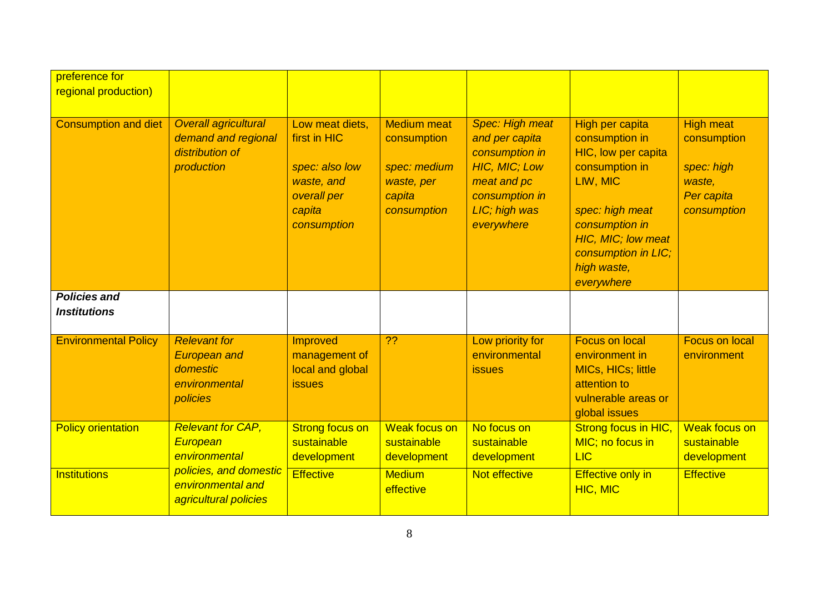| preference for<br>regional production)     |                                                                                     |                                                                                                         |                                                                                          |                                                                                                                                             |                                                                                                                                                                                                       |                                                                                      |
|--------------------------------------------|-------------------------------------------------------------------------------------|---------------------------------------------------------------------------------------------------------|------------------------------------------------------------------------------------------|---------------------------------------------------------------------------------------------------------------------------------------------|-------------------------------------------------------------------------------------------------------------------------------------------------------------------------------------------------------|--------------------------------------------------------------------------------------|
| <b>Consumption and diet</b>                | Overall agricultural<br>demand and regional<br>distribution of<br>production        | Low meat diets,<br>first in HIC<br>spec: also low<br>waste, and<br>overall per<br>capita<br>consumption | <b>Medium meat</b><br>consumption<br>spec: medium<br>waste, per<br>capita<br>consumption | Spec: High meat<br>and per capita<br>consumption in<br><b>HIC, MIC; Low</b><br>meat and pc<br>consumption in<br>LIC; high was<br>everywhere | High per capita<br>consumption in<br>HIC, low per capita<br>consumption in<br>LIW, MIC<br>spec: high meat<br>consumption in<br>HIC, MIC; low meat<br>consumption in LIC;<br>high waste,<br>everywhere | <b>High meat</b><br>consumption<br>spec: high<br>waste,<br>Per capita<br>consumption |
| <b>Policies and</b><br><b>Institutions</b> |                                                                                     |                                                                                                         |                                                                                          |                                                                                                                                             |                                                                                                                                                                                                       |                                                                                      |
| <b>Environmental Policy</b>                | <b>Relevant for</b><br><b>European and</b><br>domestic<br>environmental<br>policies | Improved<br>management of<br>local and global<br><b>issues</b>                                          | $\overline{?}$                                                                           | Low priority for<br>environmental<br><b>issues</b>                                                                                          | <b>Focus on local</b><br>environment in<br><b>MICs, HICs; little</b><br>attention to<br>vulnerable areas or<br>global issues                                                                          | <b>Focus on local</b><br>environment                                                 |
| <b>Policy orientation</b>                  | <b>Relevant for CAP,</b><br>European<br>environmental                               | <b>Strong focus on</b><br>sustainable<br>development                                                    | <b>Weak focus on</b><br>sustainable<br>development                                       | No focus on<br>sustainable<br>development                                                                                                   | Strong focus in HIC,<br>MIC; no focus in<br><b>LIC</b>                                                                                                                                                | <b>Weak focus on</b><br>sustainable<br>development                                   |
| <b>Institutions</b>                        | policies, and domestic<br>environmental and<br>agricultural policies                | <b>Effective</b>                                                                                        | <b>Medium</b><br>effective                                                               | Not effective                                                                                                                               | <b>Effective only in</b><br>HIC, MIC                                                                                                                                                                  | <b>Effective</b>                                                                     |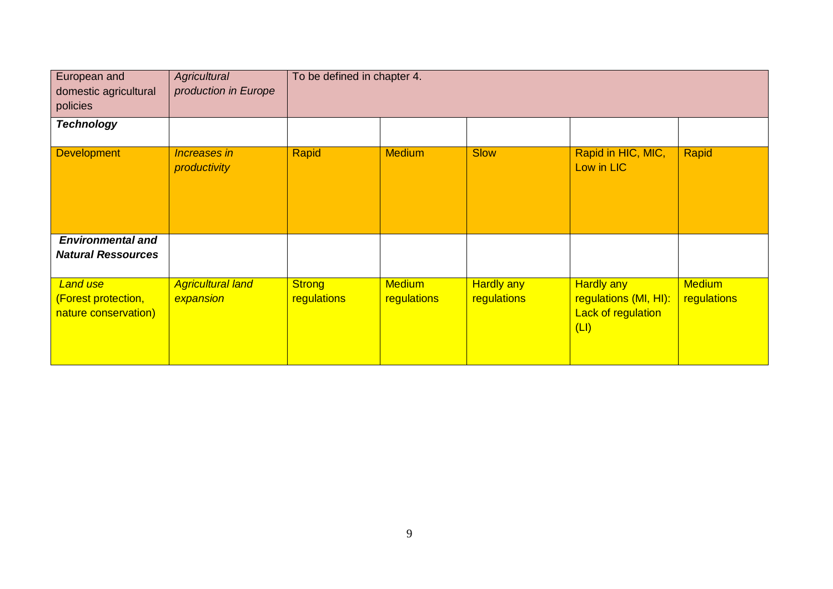| European and<br>domestic agricultural<br>policies              | Agricultural<br>production in Europe  | To be defined in chapter 4.  |                              |                                  |                                                                                 |                              |
|----------------------------------------------------------------|---------------------------------------|------------------------------|------------------------------|----------------------------------|---------------------------------------------------------------------------------|------------------------------|
| <b>Technology</b>                                              |                                       |                              |                              |                                  |                                                                                 |                              |
| <b>Development</b>                                             | <b>Increases in</b><br>productivity   | Rapid                        | <b>Medium</b>                | <b>Slow</b>                      | Rapid in HIC, MIC,<br>Low in LIC                                                | Rapid                        |
| <b>Environmental and</b><br><b>Natural Ressources</b>          |                                       |                              |                              |                                  |                                                                                 |                              |
| <b>Land use</b><br>(Forest protection,<br>nature conservation) | <b>Agricultural land</b><br>expansion | <b>Strong</b><br>regulations | <b>Medium</b><br>regulations | <b>Hardly any</b><br>regulations | <b>Hardly any</b><br>regulations (MI, HI):<br><b>Lack of regulation</b><br>(LI) | <b>Medium</b><br>regulations |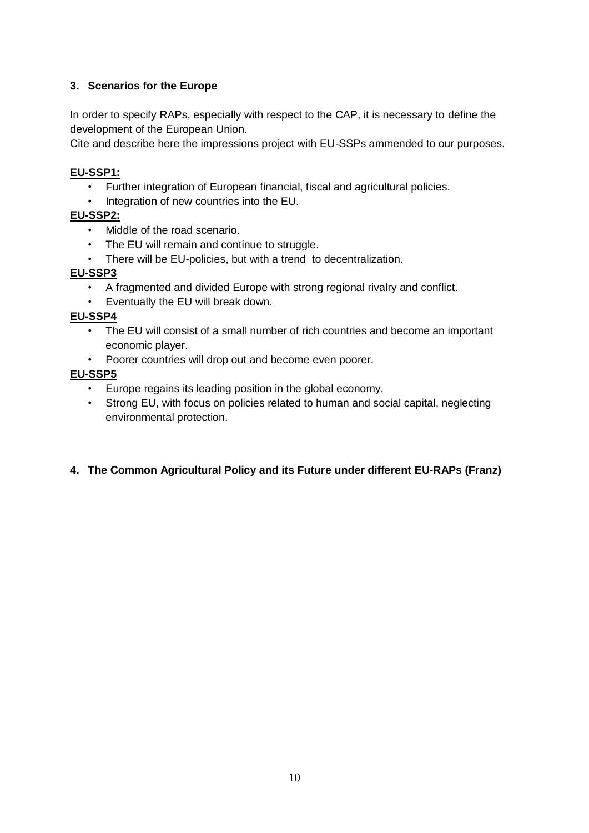# **3. Scenarios for the Europe**

In order to specify RAPs, especially with respect to the CAP, it is necessary to define the development of the European Union.

Cite and describe here the impressions project with EU-SSPs ammended to our purposes.

## **EU-SSP1:**

- Further integration of European financial, fiscal and agricultural policies.
- Integration of new countries into the EU.

#### <span id="page-10-1"></span>**EU-SSP2:**

- Middle of the road scenario.
- The EU will remain and continue to struggle.
- There will be EU-policies, but with a trend to decentralization.

#### **EU-SSP3**

- A fragmented and divided Europe with strong regional rivalry and conflict.
- Eventually the EU will break down.

## **EU-SSP4**

- The EU will consist of a small number of rich countries and become an important economic player.
- Poorer countries will drop out and become even poorer.

## **EU-SSP5**

- Europe regains its leading position in the global economy.
- Strong EU, with focus on policies related to human and social capital, neglecting environmental protection.

## <span id="page-10-0"></span>**4. The Common Agricultural Policy and its Future under different EU-RAPs (Franz)**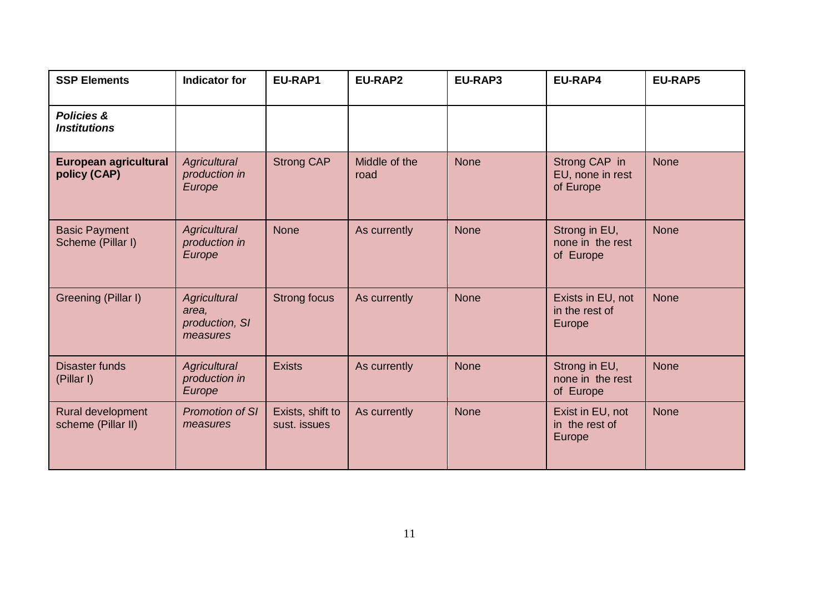| <b>SSP Elements</b>                          | <b>Indicator for</b>                                | EU-RAP1                          | EU-RAP2               | EU-RAP3     | EU-RAP4                                        | <b>EU-RAP5</b> |
|----------------------------------------------|-----------------------------------------------------|----------------------------------|-----------------------|-------------|------------------------------------------------|----------------|
| <b>Policies &amp;</b><br><b>Institutions</b> |                                                     |                                  |                       |             |                                                |                |
| European agricultural<br>policy (CAP)        | <b>Agricultural</b><br>production in<br>Europe      | <b>Strong CAP</b>                | Middle of the<br>road | <b>None</b> | Strong CAP in<br>EU, none in rest<br>of Europe | <b>None</b>    |
| <b>Basic Payment</b><br>Scheme (Pillar I)    | <b>Agricultural</b><br>production in<br>Europe      | <b>None</b>                      | As currently          | <b>None</b> | Strong in EU,<br>none in the rest<br>of Europe | <b>None</b>    |
| Greening (Pillar I)                          | Agricultural<br>area,<br>production, SI<br>measures | <b>Strong focus</b>              | As currently          | <b>None</b> | Exists in EU, not<br>in the rest of<br>Europe  | <b>None</b>    |
| <b>Disaster funds</b><br>(Pillar I)          | Agricultural<br>production in<br>Europe             | <b>Exists</b>                    | As currently          | <b>None</b> | Strong in EU,<br>none in the rest<br>of Europe | <b>None</b>    |
| Rural development<br>scheme (Pillar II)      | <b>Promotion of SI</b><br>measures                  | Exists, shift to<br>sust. issues | As currently          | <b>None</b> | Exist in EU, not<br>in the rest of<br>Europe   | <b>None</b>    |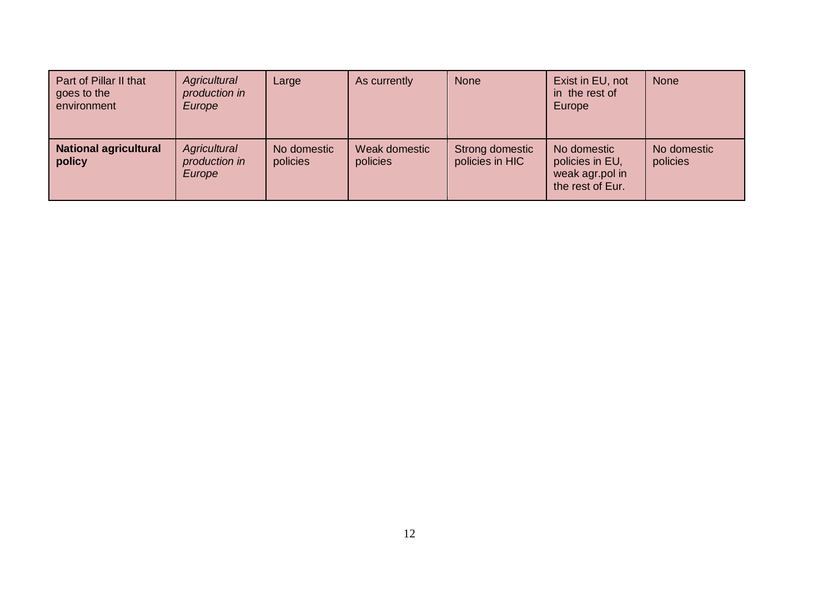| Part of Pillar II that<br>goes to the<br>environment | Agricultural<br>production in<br>Europe | Large                   | As currently              | <b>None</b>                        | Exist in EU, not<br>in the rest of<br>Europe                          | <b>None</b>             |
|------------------------------------------------------|-----------------------------------------|-------------------------|---------------------------|------------------------------------|-----------------------------------------------------------------------|-------------------------|
| <b>National agricultural</b><br>policy               | Agricultural<br>production in<br>Europe | No domestic<br>policies | Weak domestic<br>policies | Strong domestic<br>policies in HIC | No domestic<br>policies in EU,<br>weak agr.pol in<br>the rest of Eur. | No domestic<br>policies |